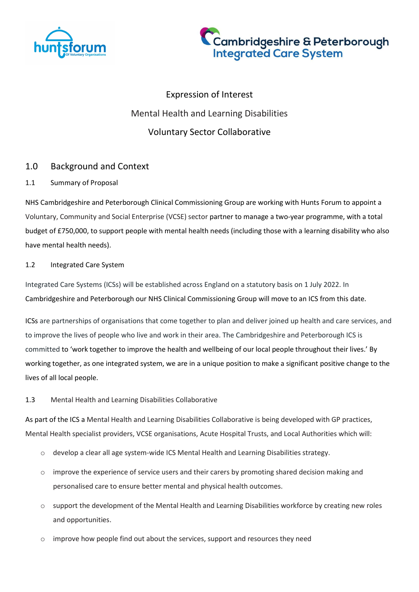



Expression of Interest Mental Health and Learning Disabilities Voluntary Sector Collaborative

## 1.0 Background and Context

### 1.1 Summary of Proposal

NHS Cambridgeshire and Peterborough Clinical Commissioning Group are working with Hunts Forum to appoint a Voluntary, Community and Social Enterprise (VCSE) sector partner to manage a two-year programme, with a total budget of £750,000, to support people with mental health needs (including those with a learning disability who also have mental health needs).

### 1.2 Integrated Care System

Integrated Care Systems (ICSs) will be established across England on a statutory basis on 1 July 2022. In Cambridgeshire and Peterborough our NHS Clinical Commissioning Group will move to an ICS from this date.

ICSs are partnerships of organisations that come together to plan and deliver joined up health and care services, and to improve the lives of people who live and work in their area. The Cambridgeshire and Peterborough ICS is committed to 'work together to improve the health and wellbeing of our local people throughout their lives.' By working together, as one integrated system, we are in a unique position to make a significant positive change to the lives of all local people.

### 1.3 Mental Health and Learning Disabilities Collaborative

As part of the ICS a Mental Health and Learning Disabilities Collaborative is being developed with GP practices, Mental Health specialist providers, VCSE organisations, Acute Hospital Trusts, and Local Authorities which will:

- $\circ$  develop a clear all age system-wide ICS Mental Health and Learning Disabilities strategy.
- o improve the experience of service users and their carers by promoting shared decision making and personalised care to ensure better mental and physical health outcomes.
- $\circ$  support the development of the Mental Health and Learning Disabilities workforce by creating new roles and opportunities.
- $\circ$  improve how people find out about the services, support and resources they need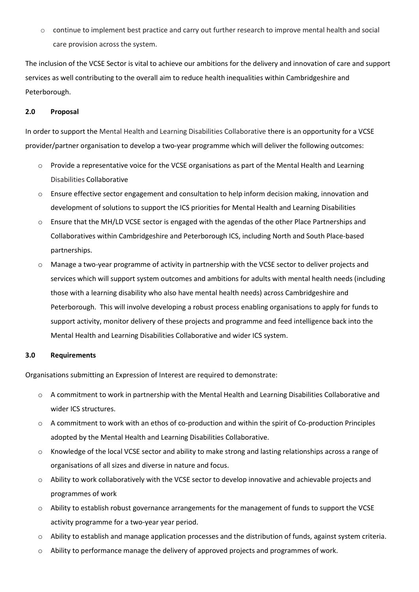o continue to implement best practice and carry out further research to improve mental health and social care provision across the system.

The inclusion of the VCSE Sector is vital to achieve our ambitions for the delivery and innovation of care and support services as well contributing to the overall aim to reduce health inequalities within Cambridgeshire and Peterborough.

#### 2.0 Proposal

In order to support the Mental Health and Learning Disabilities Collaborative there is an opportunity for a VCSE provider/partner organisation to develop a two-year programme which will deliver the following outcomes:

- $\circ$  Provide a representative voice for the VCSE organisations as part of the Mental Health and Learning Disabilities Collaborative
- o Ensure effective sector engagement and consultation to help inform decision making, innovation and development of solutions to support the ICS priorities for Mental Health and Learning Disabilities
- $\circ$  Ensure that the MH/LD VCSE sector is engaged with the agendas of the other Place Partnerships and Collaboratives within Cambridgeshire and Peterborough ICS, including North and South Place-based partnerships.
- o Manage a two-year programme of activity in partnership with the VCSE sector to deliver projects and services which will support system outcomes and ambitions for adults with mental health needs (including those with a learning disability who also have mental health needs) across Cambridgeshire and Peterborough. This will involve developing a robust process enabling organisations to apply for funds to support activity, monitor delivery of these projects and programme and feed intelligence back into the Mental Health and Learning Disabilities Collaborative and wider ICS system.

#### 3.0 Requirements

Organisations submitting an Expression of Interest are required to demonstrate:

- o A commitment to work in partnership with the Mental Health and Learning Disabilities Collaborative and wider ICS structures.
- o A commitment to work with an ethos of co-production and within the spirit of Co-production Principles adopted by the Mental Health and Learning Disabilities Collaborative.
- o Knowledge of the local VCSE sector and ability to make strong and lasting relationships across a range of organisations of all sizes and diverse in nature and focus.
- o Ability to work collaboratively with the VCSE sector to develop innovative and achievable projects and programmes of work
- $\circ$  Ability to establish robust governance arrangements for the management of funds to support the VCSE activity programme for a two-year year period.
- o Ability to establish and manage application processes and the distribution of funds, against system criteria.
- o Ability to performance manage the delivery of approved projects and programmes of work.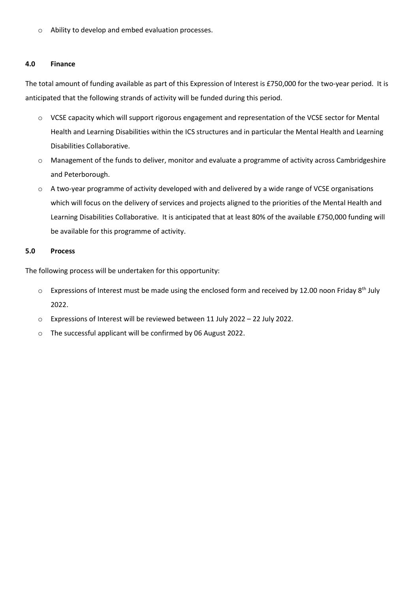o Ability to develop and embed evaluation processes.

#### 4.0 Finance

The total amount of funding available as part of this Expression of Interest is £750,000 for the two-year period. It is anticipated that the following strands of activity will be funded during this period.

- o VCSE capacity which will support rigorous engagement and representation of the VCSE sector for Mental Health and Learning Disabilities within the ICS structures and in particular the Mental Health and Learning Disabilities Collaborative.
- o Management of the funds to deliver, monitor and evaluate a programme of activity across Cambridgeshire and Peterborough.
- $\circ$  A two-year programme of activity developed with and delivered by a wide range of VCSE organisations which will focus on the delivery of services and projects aligned to the priorities of the Mental Health and Learning Disabilities Collaborative. It is anticipated that at least 80% of the available £750,000 funding will be available for this programme of activity.

#### 5.0 Process

The following process will be undertaken for this opportunity:

- $\circ$  Expressions of Interest must be made using the enclosed form and received by 12.00 noon Friday 8<sup>th</sup> July 2022.
- o Expressions of Interest will be reviewed between 11 July 2022 22 July 2022.
- o The successful applicant will be confirmed by 06 August 2022.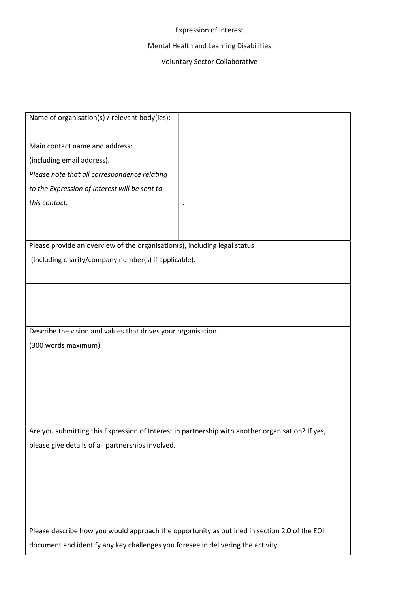## Expression of Interest

# Mental Health and Learning Disabilities

# Voluntary Sector Collaborative

| Name of organisation(s) / relevant body(ies):                                                    |  |
|--------------------------------------------------------------------------------------------------|--|
| Main contact name and address:                                                                   |  |
| (including email address).                                                                       |  |
| Please note that all correspondence relating                                                     |  |
| to the Expression of Interest will be sent to                                                    |  |
| this contact.                                                                                    |  |
|                                                                                                  |  |
|                                                                                                  |  |
| Please provide an overview of the organisation(s), including legal status                        |  |
| (including charity/company number(s) if applicable).                                             |  |
|                                                                                                  |  |
|                                                                                                  |  |
|                                                                                                  |  |
|                                                                                                  |  |
| Describe the vision and values that drives your organisation.                                    |  |
| (300 words maximum)                                                                              |  |
|                                                                                                  |  |
|                                                                                                  |  |
|                                                                                                  |  |
|                                                                                                  |  |
|                                                                                                  |  |
| Are you submitting this Expression of Interest in partnership with another organisation? If yes, |  |
| please give details of all partnerships involved.                                                |  |
|                                                                                                  |  |
|                                                                                                  |  |
|                                                                                                  |  |
|                                                                                                  |  |
|                                                                                                  |  |
| Please describe how you would approach the opportunity as outlined in section 2.0 of the EOI     |  |
| document and identify any key challenges you foresee in delivering the activity.                 |  |